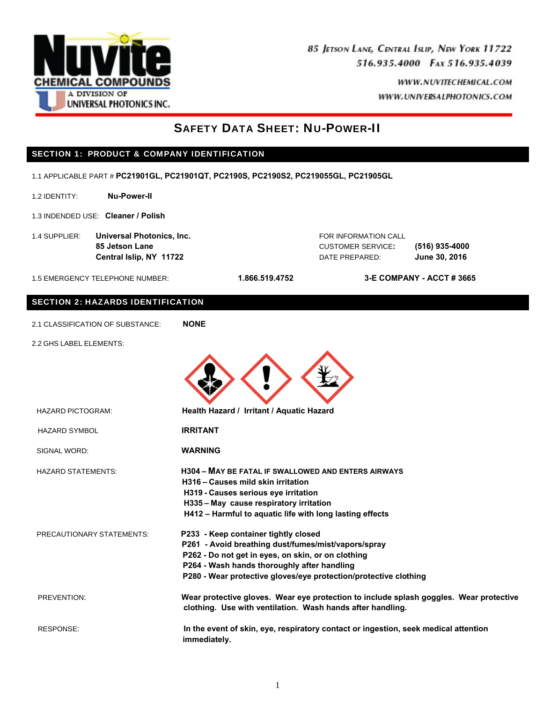

> WWW.NUVITECHEMICAL.COM WWW.UNIVERSALPHOTONICS.COM

# SAFETY DATA SHEET: NU-POWER-II

## SECTION 1: PRODUCT & COMPANY IDENTIFICATION

1.1 APPLICABLE PART # **PC21901GL, PC21901QT, PC2190S, PC2190S2, PC219055GL, PC21905GL**

- 1.2 IDENTITY: **Nu-Power-II**
- 1.3 INDENDED USE: **Cleaner / Polish**
- 1.4 SUPPLIER: **Universal Photonics, Inc.** FOR INFORMATION CALL

 **85 Jetson Lane** CUSTOMER SERVICE**: (516) 935-4000 Central Islip, NY 11722** DATE PREPARED: **June 30, 2016** 

1.5 EMERGENCY TELEPHONE NUMBER: **1.866.519.4752 3-E COMPANY - ACCT # 3665** 

### SECTION 2: HAZARDS IDENTIFICATION

|  | 2.1 CLASSIFICATION OF SUBSTANCE: | <b>NONE</b> |
|--|----------------------------------|-------------|
|--|----------------------------------|-------------|

2.2 GHS LABEL ELEMENTS:

| <b>HAZARD PICTOGRAM:</b>         | Health Hazard / Irritant / Aquatic Hazard                                                                                                                                                                                                                            |
|----------------------------------|----------------------------------------------------------------------------------------------------------------------------------------------------------------------------------------------------------------------------------------------------------------------|
| <b>HAZARD SYMBOL</b>             | <b>IRRITANT</b>                                                                                                                                                                                                                                                      |
| SIGNAL WORD:                     | <b>WARNING</b>                                                                                                                                                                                                                                                       |
| <b>HAZARD STATEMENTS:</b>        | <b>H304 - MAY BE FATAL IF SWALLOWED AND ENTERS AIRWAYS</b><br>H316 - Causes mild skin irritation<br>H319 - Causes serious eye irritation<br>H335 - May cause respiratory irritation<br>H412 - Harmful to aquatic life with long lasting effects                      |
| <b>PRECAUTIONARY STATEMENTS:</b> | P233 - Keep container tightly closed<br>P261 - Avoid breathing dust/fumes/mist/vapors/spray<br>P262 - Do not get in eyes, on skin, or on clothing<br>P264 - Wash hands thoroughly after handling<br>P280 - Wear protective gloves/eye protection/protective clothing |
| PREVENTION:                      | Wear protective gloves. Wear eye protection to include splash goggles. Wear protective<br>clothing. Use with ventilation. Wash hands after handling.                                                                                                                 |
| RESPONSE:                        | In the event of skin, eye, respiratory contact or ingestion, seek medical attention<br>immediately.                                                                                                                                                                  |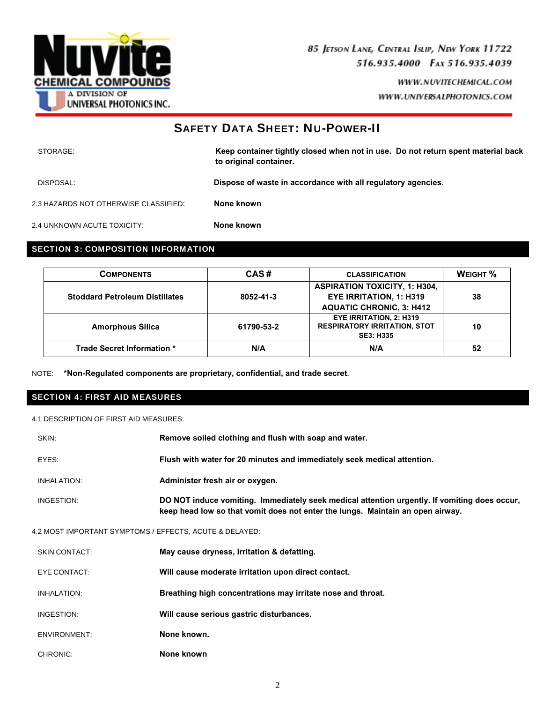

## SAFETY DATA SHEET: NU-POWER-II

| STORAGE:                              | Keep container tightly closed when not in use. Do not return spent material back<br>to original container. |
|---------------------------------------|------------------------------------------------------------------------------------------------------------|
| DISPOSAL:                             | Dispose of waste in accordance with all regulatory agencies.                                               |
| 2.3 HAZARDS NOT OTHERWISE CLASSIFIED: | None known                                                                                                 |
| 2.4 UNKNOWN ACUTE TOXICITY:           | None known                                                                                                 |

### SECTION 3: COMPOSITION INFORMATION

| <b>COMPONENTS</b>                     | CAS#       | <b>CLASSIFICATION</b>                                                                                     | WEIGHT % |
|---------------------------------------|------------|-----------------------------------------------------------------------------------------------------------|----------|
| <b>Stoddard Petroleum Distillates</b> | 8052-41-3  | <b>ASPIRATION TOXICITY, 1: H304,</b><br><b>EYE IRRITATION, 1: H319</b><br><b>AQUATIC CHRONIC, 3: H412</b> | 38       |
| <b>Amorphous Silica</b>               | 61790-53-2 | <b>EYE IRRITATION, 2: H319</b><br><b>RESPIRATORY IRRITATION, STOT</b><br><b>SE3: H335</b>                 | 10       |
| Trade Secret Information *            | N/A        | N/A                                                                                                       | 52       |

NOTE: **\*Non-Regulated components are proprietary, confidential, and trade secret**.

### SECTION 4: FIRST AID MEASURES

4.1 DESCRIPTION OF FIRST AID MEASURES:

| SKIN:                                                   | Remove soiled clothing and flush with soap and water.                                                                                                                          |
|---------------------------------------------------------|--------------------------------------------------------------------------------------------------------------------------------------------------------------------------------|
| EYES:                                                   | Flush with water for 20 minutes and immediately seek medical attention.                                                                                                        |
| <b>INHALATION:</b>                                      | Administer fresh air or oxygen.                                                                                                                                                |
| INGESTION:                                              | DO NOT induce vomiting. Immediately seek medical attention urgently. If vomiting does occur,<br>keep head low so that vomit does not enter the lungs. Maintain an open airway. |
| 4.2 MOST IMPORTANT SYMPTOMS / EFFECTS, ACUTE & DELAYED: |                                                                                                                                                                                |
| <b>SKIN CONTACT:</b>                                    | May cause dryness, irritation & defatting.                                                                                                                                     |
| EYE CONTACT:                                            | Will cause moderate irritation upon direct contact.                                                                                                                            |
| <b>INHALATION:</b>                                      | Breathing high concentrations may irritate nose and throat.                                                                                                                    |
| INGESTION:                                              | Will cause serious gastric disturbances.                                                                                                                                       |
| ENVIRONMENT:                                            | None known.                                                                                                                                                                    |
| CHRONIC:                                                | None known                                                                                                                                                                     |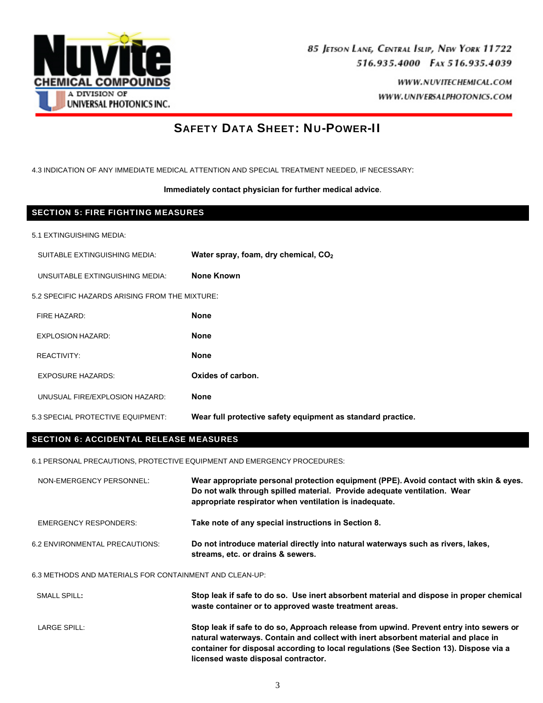

# SAFETY DATA SHEET: NU-POWER-II

4.3 INDICATION OF ANY IMMEDIATE MEDICAL ATTENTION AND SPECIAL TREATMENT NEEDED, IF NECESSARY:

**Immediately contact physician for further medical advice**.

### SECTION 5: FIRE FIGHTING MEASURES

5.1 EXTINGUISHING MEDIA:

SUITABLE EXTINGUISHING MEDIA: **Water spray, foam, dry chemical, CO2** 

UNSUITABLE EXTINGUISHING MEDIA: **None Known** 

5.2 SPECIFIC HAZARDS ARISING FROM THE MIXTURE:

| FIRE HAZARD:                      | <b>None</b>                                                 |
|-----------------------------------|-------------------------------------------------------------|
| EXPLOSION HAZARD:                 | <b>None</b>                                                 |
| REACTIVITY:                       | <b>None</b>                                                 |
| <b>EXPOSURE HAZARDS:</b>          | Oxides of carbon.                                           |
| UNUSUAL FIRE/EXPLOSION HAZARD:    | <b>None</b>                                                 |
| 5.3 SPECIAL PROTECTIVE EQUIPMENT: | Wear full protective safety equipment as standard practice. |

## SECTION 6: ACCIDENTAL RELEASE MEASURES

6.1 PERSONAL PRECAUTIONS, PROTECTIVE EQUIPMENT AND EMERGENCY PROCEDURES:

| NON-EMERGENCY PERSONNEL:                                | Wear appropriate personal protection equipment (PPE). Avoid contact with skin & eyes.<br>Do not walk through spilled material. Provide adequate ventilation. Wear<br>appropriate respirator when ventilation is inadequate. |  |
|---------------------------------------------------------|-----------------------------------------------------------------------------------------------------------------------------------------------------------------------------------------------------------------------------|--|
| EMERGENCY RESPONDERS:                                   | Take note of any special instructions in Section 8.                                                                                                                                                                         |  |
| 6.2 ENVIRONMENTAL PRECAUTIONS:                          | Do not introduce material directly into natural waterways such as rivers, lakes,<br>streams, etc. or drains & sewers.                                                                                                       |  |
| 6.3 METHODS AND MATERIALS FOR CONTAINMENT AND CLEAN-UP: |                                                                                                                                                                                                                             |  |

| SMALL SPILL: | Stop leak if safe to do so. Use inert absorbent material and dispose in proper chemical<br>waste container or to approved waste treatment areas.                                                                                                                                                            |
|--------------|-------------------------------------------------------------------------------------------------------------------------------------------------------------------------------------------------------------------------------------------------------------------------------------------------------------|
| LARGE SPILL: | Stop leak if safe to do so, Approach release from upwind. Prevent entry into sewers or<br>natural waterways. Contain and collect with inert absorbent material and place in<br>container for disposal according to local regulations (See Section 13). Dispose via a<br>licensed waste disposal contractor. |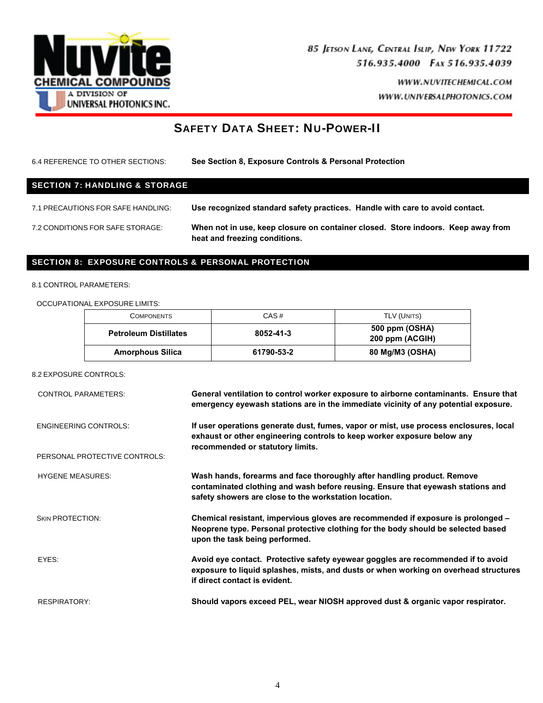

> WWW.NUVITECHEMICAL.COM WWW.UNIVERSALPHOTONICS.COM

## SAFETY DATA SHEET: NU-POWER-II

6.4 REFERENCE TO OTHER SECTIONS: **See Section 8, Exposure Controls & Personal Protection**  SECTION 7: HANDLING & STORAGE 7.1 PRECAUTIONS FOR SAFE HANDLING: **Use recognized standard safety practices. Handle with care to avoid contact.**  7.2 CONDITIONS FOR SAFE STORAGE: **When not in use, keep closure on container closed. Store indoors. Keep away from heat and freezing conditions.** 

### SECTION 8: EXPOSURE CONTROLS & PERSONAL PROTECTION

#### 8.1 CONTROL PARAMETERS:

OCCUPATIONAL EXPOSURE LIMITS:

| <b>COMPONENTS</b>            | CAS#       | TLV (UNITS)                       |
|------------------------------|------------|-----------------------------------|
| <b>Petroleum Distillates</b> | 8052-41-3  | 500 ppm (OSHA)<br>200 ppm (ACGIH) |
| <b>Amorphous Silica</b>      | 61790-53-2 | 80 Mg/M3 (OSHA)                   |

#### 8.2 EXPOSURE CONTROLS:

| <b>CONTROL PARAMETERS:</b>    | General ventilation to control worker exposure to airborne contaminants. Ensure that<br>emergency eyewash stations are in the immediate vicinity of any potential exposure.                                         |
|-------------------------------|---------------------------------------------------------------------------------------------------------------------------------------------------------------------------------------------------------------------|
| <b>ENGINEERING CONTROLS:</b>  | If user operations generate dust, fumes, vapor or mist, use process enclosures, local<br>exhaust or other engineering controls to keep worker exposure below any<br>recommended or statutory limits.                |
| PERSONAL PROTECTIVE CONTROLS: |                                                                                                                                                                                                                     |
| <b>HYGENE MEASURES:</b>       | Wash hands, forearms and face thoroughly after handling product. Remove<br>contaminated clothing and wash before reusing. Ensure that eyewash stations and<br>safety showers are close to the workstation location. |
| <b>SKIN PROTECTION:</b>       | Chemical resistant, impervious gloves are recommended if exposure is prolonged -<br>Neoprene type. Personal protective clothing for the body should be selected based<br>upon the task being performed.             |
| FYFS:                         | Avoid eye contact. Protective safety eyewear goggles are recommended if to avoid<br>exposure to liquid splashes, mists, and dusts or when working on overhead structures<br>if direct contact is evident.           |
| <b>RESPIRATORY:</b>           | Should vapors exceed PEL, wear NIOSH approved dust & organic vapor respirator.                                                                                                                                      |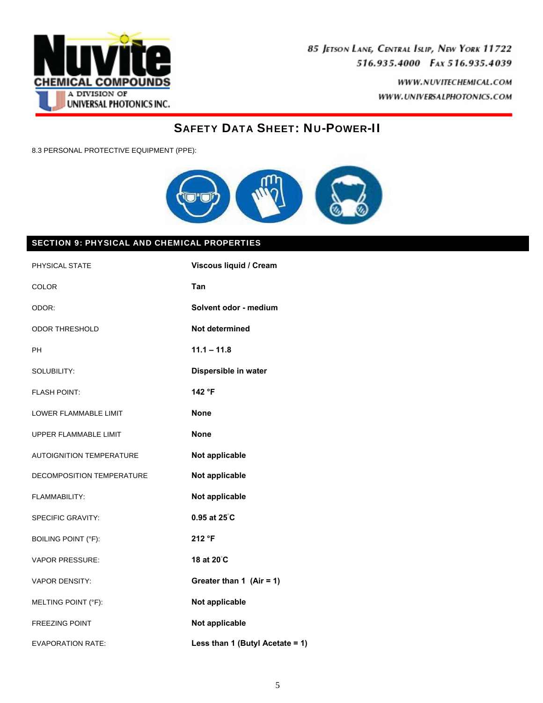

> WWW.NUVITECHEMICAL.COM WWW.UNIVERSALPHOTONICS.COM

## SAFETY DATA SHEET: NU-POWER-II

8.3 PERSONAL PROTECTIVE EQUIPMENT (PPE):



## SECTION 9: PHYSICAL AND CHEMICAL PROPERTIES

| PHYSICAL STATE                  | Viscous liquid / Cream          |
|---------------------------------|---------------------------------|
| COLOR                           | Tan                             |
| ODOR:                           | Solvent odor - medium           |
| <b>ODOR THRESHOLD</b>           | Not determined                  |
| <b>PH</b>                       | $11.1 - 11.8$                   |
| SOLUBILITY:                     | Dispersible in water            |
| <b>FLASH POINT:</b>             | 142 °F                          |
| LOWER FLAMMABLE LIMIT           | <b>None</b>                     |
| UPPER FLAMMABLE LIMIT           | <b>None</b>                     |
| <b>AUTOIGNITION TEMPERATURE</b> | Not applicable                  |
| DECOMPOSITION TEMPERATURE       | Not applicable                  |
| FLAMMABILITY:                   | Not applicable                  |
| <b>SPECIFIC GRAVITY:</b>        | $0.95$ at $25^{\circ}$ C        |
| <b>BOILING POINT (°F):</b>      | 212 °F                          |
| <b>VAPOR PRESSURE:</b>          | 18 at 20°C                      |
| <b>VAPOR DENSITY:</b>           | Greater than 1 (Air = 1)        |
| MELTING POINT (°F):             | Not applicable                  |
| <b>FREEZING POINT</b>           | Not applicable                  |
| <b>EVAPORATION RATE:</b>        | Less than 1 (Butyl Acetate = 1) |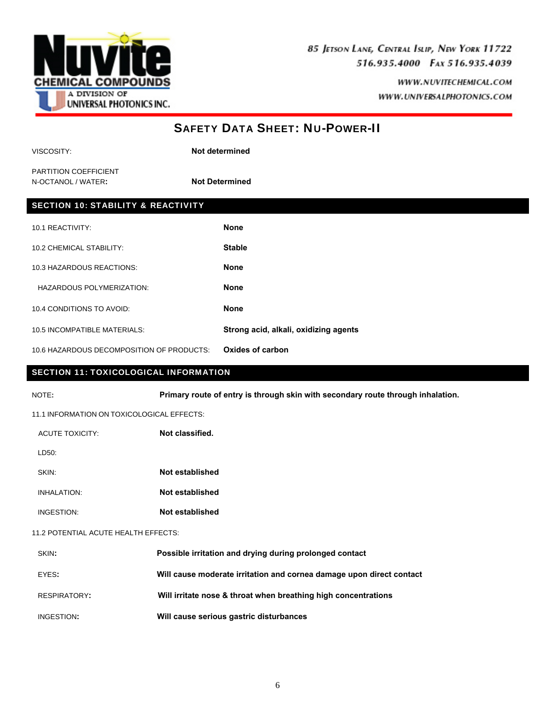

| <b>SAFETY DATA SHEET: NU-POWER-II</b>                                                    |                                                                      |                                                                |
|------------------------------------------------------------------------------------------|----------------------------------------------------------------------|----------------------------------------------------------------|
| VISCOSITY:                                                                               |                                                                      | Not determined                                                 |
| PARTITION COEFFICIENT<br>N-OCTANOL / WATER:                                              | <b>Not Determined</b>                                                |                                                                |
| <b>SECTION 10: STABILITY &amp; REACTIVITY</b>                                            |                                                                      |                                                                |
| 10.1 REACTIVITY:                                                                         |                                                                      | <b>None</b>                                                    |
| 10.2 CHEMICAL STABILITY:                                                                 |                                                                      | <b>Stable</b>                                                  |
| 10.3 HAZARDOUS REACTIONS:                                                                |                                                                      | <b>None</b>                                                    |
| HAZARDOUS POLYMERIZATION:                                                                |                                                                      | <b>None</b>                                                    |
| 10.4 CONDITIONS TO AVOID:                                                                |                                                                      | <b>None</b>                                                    |
| 10.5 INCOMPATIBLE MATERIALS:                                                             |                                                                      | Strong acid, alkali, oxidizing agents                          |
| <b>Oxides of carbon</b><br>10.6 HAZARDOUS DECOMPOSITION OF PRODUCTS:                     |                                                                      |                                                                |
| <b>SECTION 11: TOXICOLOGICAL INFORMATION</b>                                             |                                                                      |                                                                |
| Primary route of entry is through skin with secondary route through inhalation.<br>NOTE: |                                                                      |                                                                |
| 11.1 INFORMATION ON TOXICOLOGICAL EFFECTS:                                               |                                                                      |                                                                |
| <b>ACUTE TOXICITY:</b>                                                                   | Not classified.                                                      |                                                                |
| LD50:                                                                                    |                                                                      |                                                                |
| Not established<br>SKIN:                                                                 |                                                                      |                                                                |
| Not established<br><b>INHALATION:</b>                                                    |                                                                      |                                                                |
| INGESTION:<br>Not established                                                            |                                                                      |                                                                |
| 11.2 POTENTIAL ACUTE HEALTH EFFECTS:                                                     |                                                                      |                                                                |
| SKIN:                                                                                    | Possible irritation and drying during prolonged contact              |                                                                |
| EYES:                                                                                    | Will cause moderate irritation and cornea damage upon direct contact |                                                                |
| <b>RESPIRATORY:</b>                                                                      |                                                                      | Will irritate nose & throat when breathing high concentrations |
| INGESTION:                                                                               |                                                                      | Will cause serious gastric disturbances                        |
|                                                                                          |                                                                      |                                                                |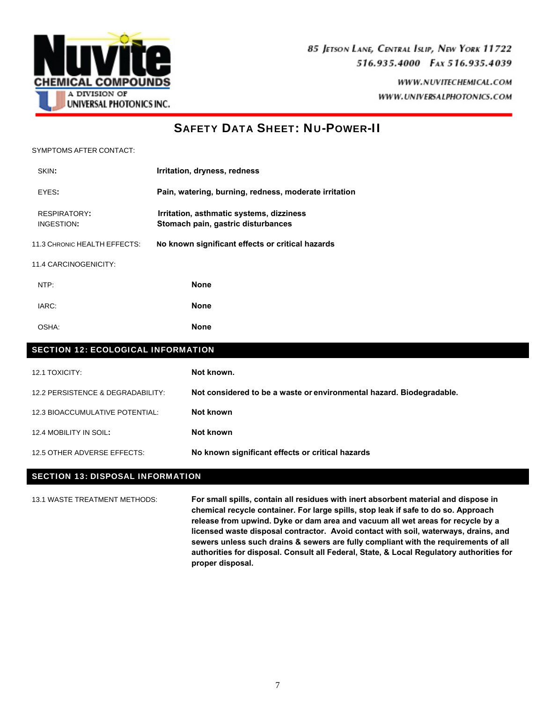

## SAFETY DATA SHEET: NU-POWER-II

SYMPTOMS AFTER CONTACT:

| SKIN:                                     | Irritation, dryness, redness                                                   |
|-------------------------------------------|--------------------------------------------------------------------------------|
| EYES:                                     | Pain, watering, burning, redness, moderate irritation                          |
| <b>RESPIRATORY:</b><br>INGESTION:         | Irritation, asthmatic systems, dizziness<br>Stomach pain, gastric disturbances |
| 11.3 CHRONIC HEALTH EFFECTS:              | No known significant effects or critical hazards                               |
| 11.4 CARCINOGENICITY:                     |                                                                                |
| NTP:                                      | <b>None</b>                                                                    |
| IARC:                                     | <b>None</b>                                                                    |
| OSHA:                                     | <b>None</b>                                                                    |
| <b>SECTION 12: ECOLOGICAL INFORMATION</b> |                                                                                |
| 12.1 TOXICITY:                            | Not known.                                                                     |
| 12.2 PERSISTENCE & DEGRADABILITY:         | Not considered to be a waste or environmental hazard. Biodegradable.           |
| 12.3 BIOACCUMULATIVE POTENTIAL:           | Not known                                                                      |
| 12.4 MOBILITY IN SOIL:                    | Not known                                                                      |

12.5 OTHER ADVERSE EFFECTS: **No known significant effects or critical hazards**

### SECTION 13: DISPOSAL INFORMATION

13.1 WASTE TREATMENT METHODS: **For small spills, contain all residues with inert absorbent material and dispose in chemical recycle container. For large spills, stop leak if safe to do so. Approach release from upwind. Dyke or dam area and vacuum all wet areas for recycle by a licensed waste disposal contractor. Avoid contact with soil, waterways, drains, and sewers unless such drains & sewers are fully compliant with the requirements of all authorities for disposal. Consult all Federal, State, & Local Regulatory authorities for proper disposal.**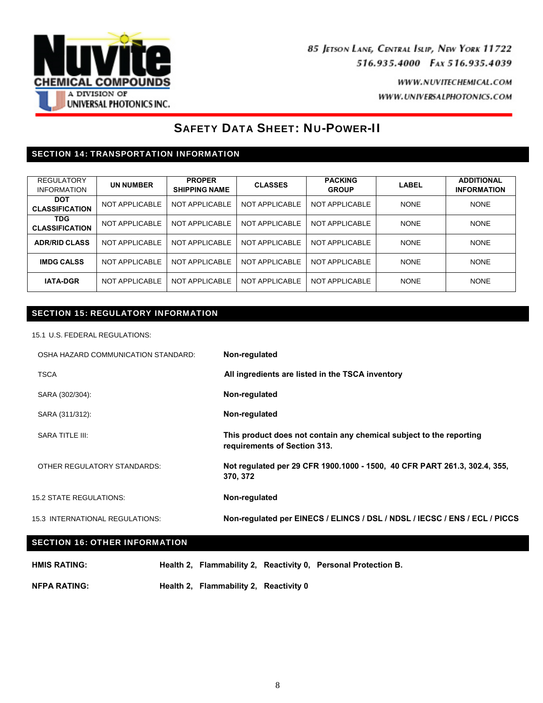

## SAFETY DATA SHEET: NU-POWER-II

## SECTION 14: TRANSPORTATION INFORMATION

| <b>REGULATORY</b><br><b>INFORMATION</b> | <b>UN NUMBER</b> | <b>PROPER</b><br><b>SHIPPING NAME</b> | <b>CLASSES</b> | <b>PACKING</b><br><b>GROUP</b> | LABEL       | <b>ADDITIONAL</b><br><b>INFORMATION</b> |
|-----------------------------------------|------------------|---------------------------------------|----------------|--------------------------------|-------------|-----------------------------------------|
| <b>DOT</b><br><b>CLASSIFICATION</b>     | NOT APPLICABLE   | NOT APPLICABLE                        | NOT APPLICABLE | NOT APPLICABLE                 | <b>NONE</b> | <b>NONE</b>                             |
| <b>TDG</b><br><b>CLASSIFICATION</b>     | NOT APPLICABLE   | NOT APPLICABLE                        | NOT APPLICABLE | NOT APPLICABLE                 | <b>NONE</b> | <b>NONE</b>                             |
| <b>ADR/RID CLASS</b>                    | NOT APPLICABLE   | NOT APPLICABLE                        | NOT APPLICABLE | NOT APPLICABLE                 | <b>NONE</b> | <b>NONE</b>                             |
| <b>IMDG CALSS</b>                       | NOT APPLICABLE   | NOT APPLICABLE                        | NOT APPLICABLE | NOT APPLICABLE                 | <b>NONE</b> | <b>NONE</b>                             |
| <b>IATA-DGR</b>                         | NOT APPLICABLE   | NOT APPLICABLE                        | NOT APPLICABLE | NOT APPLICABLE                 | <b>NONE</b> | <b>NONE</b>                             |

## SECTION 15: REGULATORY INFORMATION

15.1 U.S. FEDERAL REGULATIONS:

| OSHA HAZARD COMMUNICATION STANDARD:  | Non-regulated                                                                                       |
|--------------------------------------|-----------------------------------------------------------------------------------------------------|
| <b>TSCA</b>                          | All ingredients are listed in the TSCA inventory                                                    |
| SARA (302/304):                      | Non-regulated                                                                                       |
| SARA (311/312):                      | Non-regulated                                                                                       |
| SARA TITLE III:                      | This product does not contain any chemical subject to the reporting<br>requirements of Section 313. |
| OTHER REGULATORY STANDARDS:          | Not regulated per 29 CFR 1900.1000 - 1500, 40 CFR PART 261.3, 302.4, 355,<br>370, 372               |
| <b>15.2 STATE REGULATIONS:</b>       | Non-regulated                                                                                       |
| 15.3 INTERNATIONAL REGULATIONS:      | Non-regulated per EINECS / ELINCS / DSL / NDSL / IECSC / ENS / ECL / PICCS                          |
| <b>SECTION 16: OTHER INFORMATION</b> |                                                                                                     |

| <b>HMIS RATING:</b> |                                        | Health 2, Flammability 2, Reactivity 0, Personal Protection B. |
|---------------------|----------------------------------------|----------------------------------------------------------------|
| <b>NFPA RATING:</b> | Health 2, Flammability 2, Reactivity 0 |                                                                |